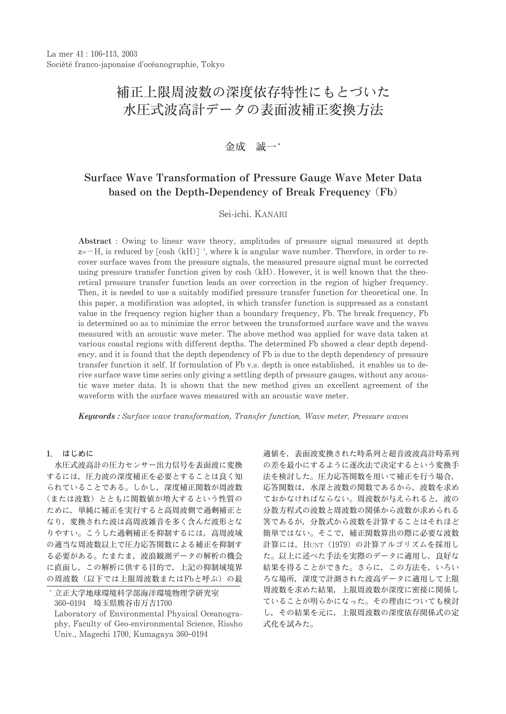# 補正上限周波数の深度依存特性にもとづいた 水圧式波高計データの表面波補正変換方法

金成 誠一\*

## Surface Wave Transformation of Pressure Gauge Wave Meter Data based on the Depth-Dependency of Break Frequency (Fb)

Sei-ichi, KANARI

Abstract: Owing to linear wave theory, amplitudes of pressure signal measured at depth  $z=-H$ , is reduced by  $\lceil \cosh (kH) \rceil^{-1}$ , where k is angular wave number. Therefore, in order to recover surface waves from the pressure signals, the measured pressure signal must be corrected using pressure transfer function given by cosh (kH). However, it is well known that the theoretical pressure transfer function leads an over correction in the region of higher frequency. Then, it is needed to use a suitably modified pressure transfer function for theoretical one. In this paper, a modification was adopted, in which transfer function is suppressed as a constant value in the frequency region higher than a boundary frequency, Fb. The break frequency, Fb. is determined so as to minimize the error between the transformed surface wave and the waves measured with an acoustic wave meter. The above method was applied for wave data taken at various coastal regions with different depths. The determined Fb showed a clear depth dependency, and it is found that the depth dependency of Fb is due to the depth dependency of pressure transfer function it self. If formulation of Fb v.s. depth is once established, it enables us to derive surface wave time series only giving a settling depth of pressure gauges, without any acoustic wave meter data. It is shown that the new method gives an excellent agreement of the waveform with the surface waves measured with an acoustic wave meter.

Keywords: Surface wave transformation, Transfer function, Wave meter, Pressure waves

## 1. はじめに

水圧式波高計の圧力センサー出力信号を表面波に変換 するには、圧力波の深度補正を必要とすることは良く知 られていることである。しかし、深度補正関数が周波数 (または波数)とともに関数値が増大するという性質の ために、単純に補正を実行すると高周波側で過剰補正と なり、変換された波は高周波雑音を多く含んだ波形とな りやすい。こうした過剰補正を抑制するには、高周波域 の適当な周波数以上で圧力応答関数による補正を抑制す る必要がある。たまたま、波浪観測データの解析の機会 に直面し、この解析に供する目的で、上記の抑制域境界 の周波数(以下では上限周波数またはFbと呼ぶ)の最 適値を、表面波変換された時系列と超音波波高計時系列 の差を最小にするように逐次法で決定するという変換手 法を検討した。圧力応答関数を用いて補正を行う場合, 応答関数は、水深と波数の関数であるから、波数を求め ておかなければならない。周波数が与えられると、波の 分散方程式の波数と周波数の関係から波数が求められる 筈であるが、分散式から波数を計算することはそれほど 簡単ではない。そこで、補正関数算出の際に必要な波数 計算には、HUNT (1979)の計算アルゴリズムを採用し た。以上に述べた手法を実際のデータに適用し、良好な 結果を得ることができた。さらに、この方法を、いろい ろな場所、深度で計測された波高データに適用して上限 周波数を求めた結果、上限周波数が深度に密接に関係し ていることが明らかになった。その理由についても検討 し、その結果を元に、上限周波数の深度依存関係式の定 式化を試みた。

<sup>\*</sup> 立正大学地球環境科学部海洋環境物理学研究室 360-0194 埼玉県熊谷市万吉1700

Laboratory of Environmental Physical Oceanography, Faculty of Geo-environmental Science, Rissho Univ., Magechi 1700, Kumagaya 360-0194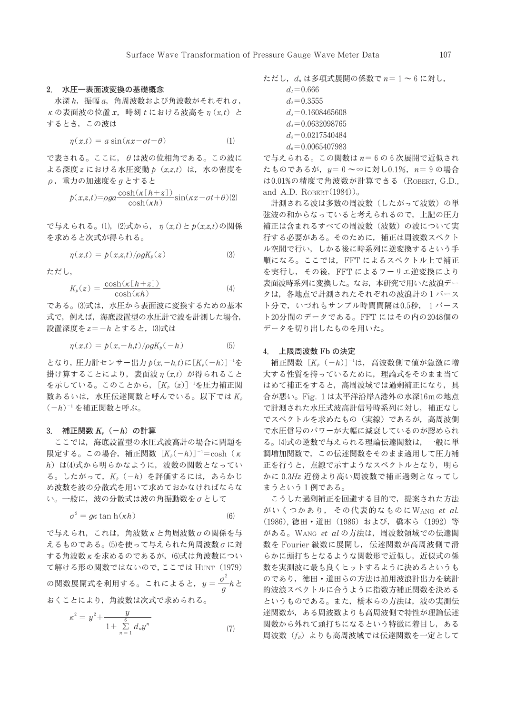#### 2. 水圧一表面波変換の基礎概念

水深 h, 振幅 a, 角周波数および角波数がそれぞれ o,  $\kappa$ の表面波の位置  $x$ , 時刻  $t$ における波高を $\eta$  (x,t) と するとき、この波は

$$
\eta(x,t) = a \sin(\kappa x - \sigma t + \theta) \tag{1}
$$

で表される。ここに、θは波の位相角である。この波に よる深度  $z$  における水圧変動  $p(x,z,t)$ は, 水の密度を  $\rho$ , 重力の加速度を $q$ とすると

$$
p(x,z,t) = \rho g a \frac{\cosh(\kappa \lfloor h+z \rfloor)}{\cosh(\kappa h)} \sin(\kappa x - \sigma t + \theta)
$$
 (2)

で与えられる。(1), (2)式から、 $\eta(x,t) \geq p(x,z,t)$ の関係 を求めると次式が得られる。

$$
\eta(x,t) = p(x,z,t)/\rho g K_p(z) \tag{3}
$$

ただし.

$$
K_p(z) = \frac{\cosh(\kappa \left[ h + z \right])}{\cosh(\kappa h)}
$$
(4)

である。(3)式は、水圧から表面波に変換するための基本 式で、例えば、海底設置型の水圧計で波を計測した場合、 設置深度をz=-hとすると、(3)式は

$$
\eta(x,t) = p(x,-h,t)/\rho g K_p(-h) \tag{5}
$$

となり、圧力計センサー出力  $p(x, -h, t)$ に $[K_p(-h)]^{-1}$ を 掛け算することにより、表面波 n (x,t) が得られること を示している。このことから、「K<sub>a</sub> (z)]<sup>-1</sup>を圧力補正関 数あるいは、水圧伝達関数と呼んでいる。以下ではK。  $(-h)^{-1}$ を補正関数と呼ぶ。

#### 3. 補正関数  $K_n$   $(-h)$  の計算

ここでは、海底設置型の水圧式波高計の場合に問題を 限定する。この場合、補正関数「 $K_{\delta}(-h)$ ]<sup>-1</sup>=cosh (K h) は(4)式から明らかなように、波数の関数となってい る。したがって, K<sub>p</sub> (-h) を評価するには, あらかじ め波数を波の分散式を用いて求めておかなければならな い。一般に、波の分散式は波の角振動数をのとして

$$
\sigma^2 = g\kappa \tan \mathbf{h}(\kappa h) \tag{6}
$$

で与えられ、これは、角波数Kと角周波数σの関係を与 えるものである。(5)を使って与えられた角周波数のに対 する角波数 κ を求めるのであるが、(6)式は角波数につい て解ける形の関数ではないので、ここでは HUNT (1979) の関数展開式を利用する。これによると,  $y = \frac{\sigma^2}{q} h$ と おくことにより、角波数は次式で求められる。

$$
\kappa^2 = y^2 + \frac{y}{1 + \sum_{n=1}^{6} d_n y^n}
$$
 (7)

$$
\textit{t.t. } d_n \textit{t} \text{ } \textit{3} \textit{ } \textit{4} \textit{ } \textit{5} \textit{ } \textit{5} \textit{ } \textit{7} \textit{ } \textit{8} \textit{ } \textit{8} \textit{ } \textit{7} \textit{ } \textit{8} \textit{ } \textit{9} \textit{ } \textit{1} \textit{ } \textit{1} \textit{ } \textit{1} \textit{ } \textit{1} \textit{ } \textit{1} \textit{ } \textit{1} \textit{ } \textit{1} \textit{ } \textit{1} \textit{ } \textit{1} \textit{ } \textit{1} \textit{ } \textit{1} \textit{ } \textit{1} \textit{ } \textit{1} \textit{ } \textit{1} \textit{ } \textit{1} \textit{ } \textit{1} \textit{ } \textit{2} \textit{ } \textit{1} \textit{ } \textit{2} \textit{ } \textit{1} \textit{ } \textit{2} \textit{ } \textit{1} \textit{ } \textit{2} \textit{ } \textit{1} \textit{ } \textit{2} \textit{ } \textit{1} \textit{ } \textit{2} \textit{ } \textit{1} \textit{ } \textit{2} \textit{ } \textit{1} \textit{ } \textit{2} \textit{ } \textit{1} \textit{ } \textit{2} \textit{ } \textit{1} \textit{ } \textit{2} \textit{ } \textit{1} \textit{ } \textit{2} \textit{ } \textit{1} \textit{ } \textit{2} \textit{ } \textit{1} \textit{ } \textit{2} \textit{ } \textit{1} \textit{ } \textit{2} \textit{ } \textit{1} \textit{ } \textit{2} \textit{ } \textit{1} \textit{ } \textit{2} \textit{ } \textit{1} \textit{ } \textit{2} \textit{ } \textit{1} \textit{ } \textit{2} \textit{ } \textit{1} \textit{ } \textit{2} \textit{ } \textit{1} \textit{ } \textit{2} \textit{ } \textit{1} \textit{2} \textit{ } \textit{1}
$$

$$
d_i = 0.666
$$
  
\n
$$
d_i = 0.3555
$$
  
\n
$$
d_i = 0.1608465608
$$
  
\n
$$
d_i = 0.0632098765
$$
  
\n
$$
d_s = 0.0217540484
$$
  
\n
$$
d_s = 0.0065407983
$$

で与えられる。この関数はn=6の6次展開で近似され たものであるが、 $y = 0 \sim \infty$ に対し0.1%、 $n = 9$ の場合 は0.01%の精度で角波数が計算できる (ROBERT, G.D., and A.D. ROBERT $(1984)$ <sub>o</sub>

計測される波は多数の周波数(したがって波数)の単 弦波の和からなっていると考えられるので、上記の圧力 補正は含まれるすべての周波数(波数)の波について実 行する必要がある。そのために、補正は周波数スペクト ル空間で行い、しかる後に時系列に逆変換するという手 順になる。ここでは、FFTによるスペクトル上で補正 を実行し、その後、FFTによるフーリエ逆変換により 表面波時系列に変換した。なお、本研究で用いた波浪デー タは、各地点で計測されたそれぞれの波浪計の1バース ト分で、いづれもサンプル時間間隔は0.5秒、1バース ト20分間のデータである。FFTにはその内の2048個の データを切り出したものを用いた。

## 4. 上限周波数 Fb の決定

補正関数 [K<sub>p</sub> (-h)]<sup>-1</sup>は、高波数側で値が急激に増 大する性質を持っているために、理論式をそのまま当て はめて補正をすると、高周波域では過剰補正になり、具 合が悪い。Fig. 1は太平洋沿岸A港外の水深16mの地点 で計測された水圧式波高計信号時系列に対し、補正なし でスペクトルを求めたもの(実線)であるが、高周波側 で水圧信号のパワーが大幅に減衰しているのが認められ る。(4)式の逆数で与えられる理論伝達関数は、一般に単 調増加関数で、この伝達関数をそのまま適用して圧力補 正を行うと、点線で示すようなスペクトルとなり、明ら かに 0.3Hz 近傍より高い周波数で補正過剰となってし まうという1例である。

こうした過剰補正を回避する目的で、提案された方法 がいくつかあり、その代表的なものにWANG et al. (1986), 徳田·道田 (1986) および, 橋本ら (1992) 等 がある。WANG et alの方法は、周波数領域での伝達関 数を Fourier 級数に展開し、伝達関数が高周波側で滑 らかに頭打ちとなるような関数形で近似し、近似式の係 数を実測波に最も良くヒットするように決めるというも のであり、徳田・道田らの方法は舶用波浪計出力を統計 的波浪スペクトルに合うように指数方補正関数を決める というものである。また、橋本らの方法は、波の実測伝 達関数が、ある周波数よりも高周波側で特性が理論伝達 関数から外れて頭打ちになるという特徴に着目し、ある 周波数 (fR) よりも高周波域では伝達関数を一定として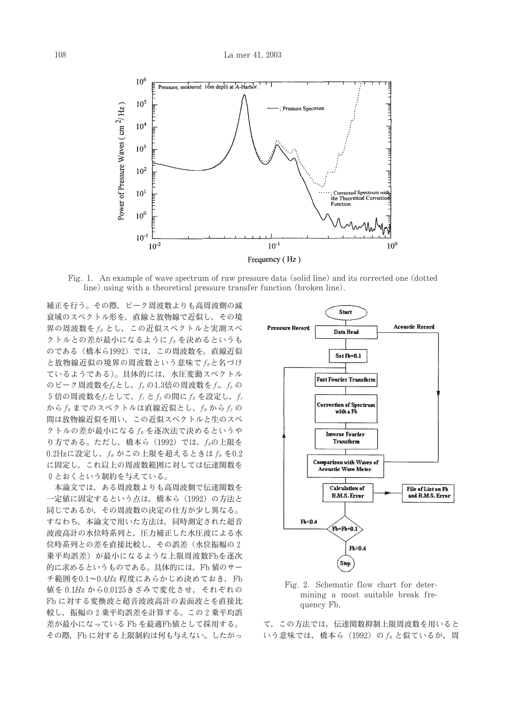

Fig. 1. An example of wave spectrum of raw pressure data (solid line) and its corrected one (dotted line) using with a theoretical pressure transfer function (broken line).

補正を行う。その際、ピーク周波数よりも高周波側の減 衰域のスペクトル形を、直線と放物線で近似し、その境 界の周波数を fR とし、この近似スペクトルと実測スペ クトルとの差が最小になるように fB を決めるというも のである (橋本ら1992) では、この周波数を、直線近似 と放物線近似の境界の周波数という意味でfBと名づけ ているようである)。具体的には、水圧変動スペクトル のピーク周波数を $f_{p}$ とし、 $f_{p}$ の1.3倍の周波数を $f_{1}$ ,  $f_{p}$ の 5 倍の周波数を $f_2$ として、 $f_1$ と $f_2$ の間に $f_B$ を設定し、 $f_1$ からfBまでのスペクトルは直線近似とし、fBからf2の 間は放物線近似を用い、この近似スペクトルと生のスペ クトルの差が最小になるfBを逐次法で決めるというや り方である。ただし、橋本ら (1992) では、fBの上限を  $0.2$ Hzに設定し,  $f_B$ がこの上限を超えるときは $f_B$ を $0.2$ に固定し、これ以上の周波数範囲に対しては伝達関数を 0とおくという制約を与えている。

本論文では、ある周波数よりも高周波側で伝達関数を 一定値に固定するという点は、橋本ら (1992) の方法と 同じであるが、その周波数の決定の仕方が少し異なる。 すなわち、本論文で用いた方法は、同時測定された超音 波波高計の水位時系列と、圧力補正した水圧波による水 位時系列との差を直接比較し、その誤差(水位振幅の2 乗平均誤差)が最小になるような上限周波数Fbを逐次 的に求めるというものである。具体的には、Fb 値のサー チ範囲を0.1~0.4Hz 程度にあらかじめ決めておき、Fb 値を 0.1Hz から0.0125きざみで変化させ、それぞれの Fb に対する変換波と超音波波高計の表面波とを直接比 較し、振幅の2乗平均誤差を計算する。この2乗平均誤 差が最小になっている Fb を最適Fb値として採用する。 その際、Fbに対する上限制約は何も与えない。したがっ



Fig. 2. Schematic flow chart for determining a most suitable break frequency Fb.

て、この方法では、伝達関数抑制上限周波数を用いると いう意味では、橋本ら (1992) の fB と似ているが、周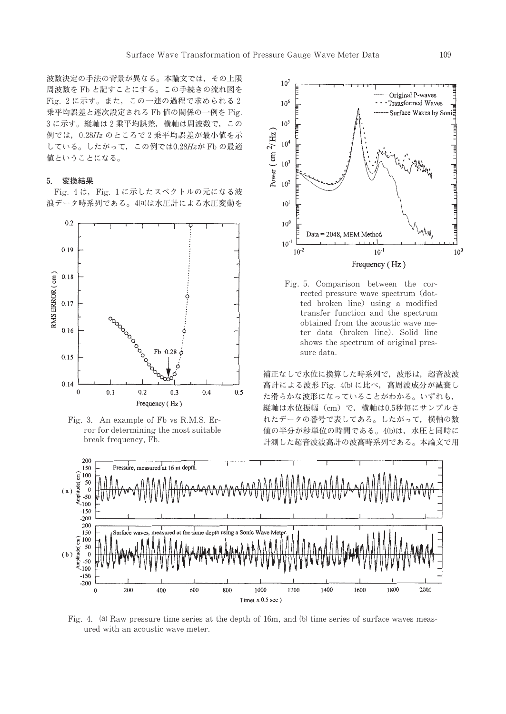波数決定の手法の背景が異なる。本論文では、その上限 周波数をFbと記すことにする。この手続きの流れ図を Fig. 2に示す。また、この一連の過程で求められる2 乗平均誤差と逐次設定される Fb 値の関係の一例を Fig. 3に示す。縦軸は2乗平均誤差,横軸は周波数で、この 例では、0.28Hzのところで2乗平均誤差が最小値を示 している。したがって、この例では0.28Hzが Fb の最適 値ということになる。

#### 変換結果  $5.$

Fig. 4 は, Fig. 1 に示したスペクトルの元になる波 浪データ時系列である。4(a)は水圧計による水圧変動を







Fig. 5. Comparison between the corrected pressure wave spectrum (dotted broken line) using a modified transfer function and the spectrum obtained from the acoustic wave meter data (broken line). Solid line shows the spectrum of original pressure data.

補正なしで水位に換算した時系列で、波形は、超音波波 高計による波形 Fig. 4(b) に比べ、高周波成分が減衰し た滑らかな波形になっていることがわかる。いずれも, 縦軸は水位振幅 (cm) で、横軸は0.5秒毎にサンプルさ れたデータの番号で表してある。したがって、横軸の数 値の半分が秒単位の時間である。4(b)は、水圧と同時に 計測した超音波波高計の波高時系列である。本論文で用



Fig. 4. (a) Raw pressure time series at the depth of 16m, and (b) time series of surface waves measured with an acoustic wave meter.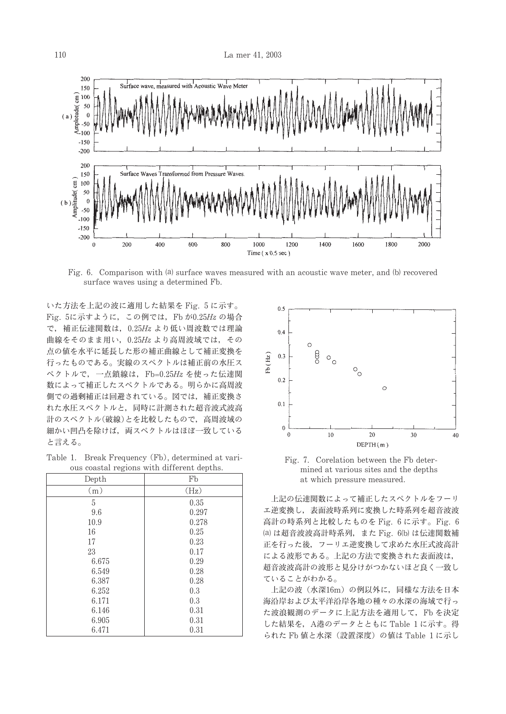

Fig. 6. Comparison with (a) surface waves measured with an acoustic wave meter, and (b) recovered surface waves using a determined Fb.

いた方法を上記の波に適用した結果を Fig. 5 に示す。 Fig. 5に示すように、この例では、Fb が0.25Hz の場合 で、補正伝達関数は、0.25Hz より低い周波数では理論 曲線をそのまま用い, 0.25Hz より高周波域では、その 点の値を水平に延長した形の補正曲線として補正変換を 行ったものである。実線のスペクトルは補正前の水圧ス ペクトルで、一点鎖線は、Fb=0.25Hz を使った伝達関 数によって補正したスペクトルである。明らかに高周波 側での過剰補正は回避されている。図では、補正変換さ れた水圧スペクトルと、同時に計測された超音波式波高 計のスペクトル(破線)とを比較したもので、高周波域の 細かい凹凸を除けば、両スペクトルはほぼ一致している と言える。

Table 1. Break Frequency (Fb), determined at various coastal regions with different depths.

| Depth | Fb    |
|-------|-------|
| (m)   | (Hz)  |
| 5     | 0.35  |
| 9.6   | 0.297 |
| 10.9  | 0.278 |
| 16    | 0.25  |
| 17    | 0.23  |
| 23    | 0.17  |
| 6.675 | 0.29  |
| 6.549 | 0.28  |
| 6.387 | 0.28  |
| 6.252 | 0.3   |
| 6.171 | 0.3   |
| 6.146 | 0.31  |
| 6.905 | 0.31  |
| 6.471 | 0.31  |



Fig. 7. Corelation between the Fb determined at various sites and the depths at which pressure measured.

上記の伝達関数によって補正したスペクトルをフーリ エ逆変換し、表面波時系列に変換した時系列を超音波波 高計の時系列と比較したものを Fig. 6 に示す。Fig. 6 (a) は超音波波高計時系列, また Fig. 6(b) は伝達関数補 正を行った後、フーリエ逆変換して求めた水圧式波高計 による波形である。上記の方法で変換された表面波は, 超音波波高計の波形と見分けがつかないほど良く一致し ていることがわかる。

上記の波(水深16m)の例以外に、同様な方法を日本 海沿岸および太平洋沿岸各地の種々の水深の海域で行っ た波浪観測のデータに上記方法を適用して、Fbを決定 した結果を、A港のデータとともに Table 1に示す。得 られた Fb 値と水深(設置深度)の値は Table 1に示し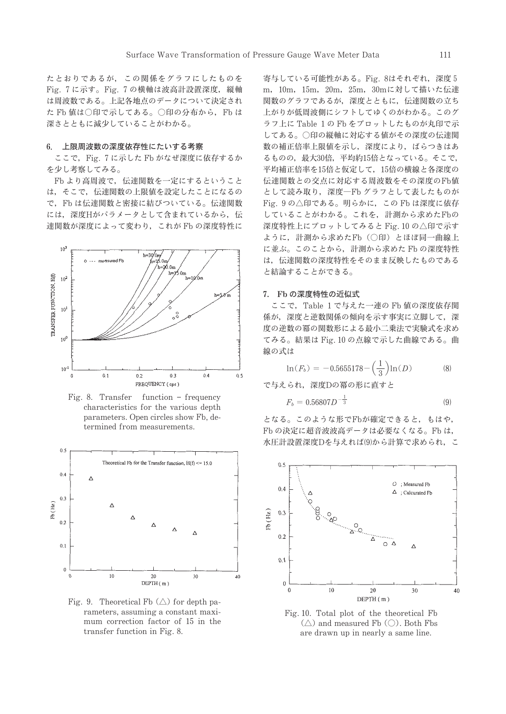たとおりであるが、この関係をグラフにしたものを Fig. 7に示す。Fig. 7の横軸は波高計設置深度, 縦軸 は周波数である。上記各地点のデータについて決定され たFb値は○印で示してある。○印の分布から、Fbは 深さとともに減少していることがわかる。

#### 6. 上限周波数の深度依存性にたいする考察

ここで、Fig. 7 に示した Fb がなぜ深度に依存するか を少し考察してみる。

Fb より高周波で、伝達関数を一定にするということ は、そこで、伝達関数の上限値を設定したことになるの で、Fbは伝達関数と密接に結びついている。伝達関数 には、深度Hがパラメータとして含まれているから、伝 達関数が深度によって変わり、これが Fb の深度特性に



Fig. 8. Transfer function - frequency characteristics for the various depth parameters. Open circles show Fb, determined from measurements.



Fig. 9. Theoretical Fb  $(\triangle)$  for depth parameters, assuming a constant maximum correction factor of 15 in the transfer function in Fig. 8.

寄与している可能性がある。Fig. 8はそれぞれ、深度5 m, 10m, 15m, 20m, 25m, 30mに対して描いた伝達 関数のグラフであるが、深度とともに、伝達関数の立ち 上がりが低周波側にシフトしてゆくのがわかる。このグ ラフ上に Table 1の Fb をプロットしたものが丸印で示 してある。○印の縦軸に対応する値がその深度の伝達関 数の補正倍率上限値を示し、深度により、ばらつきはあ るものの、最大30倍、平均約15倍となっている。そこで、 平均補正倍率を15倍と仮定して、15倍の横線と各深度の 伝達関数との交点に対応する周波数をその深度のFb値 として読み取り、深度一Fb グラフとして表したものが Fig. 9の△印である。明らかに、この Fb は深度に依存 していることがわかる。これを、計測から求めたFbの 深度特性上にプロットしてみると Fig. 10の△印で示す ように、計測から求めたFb (○印) とほぼ同一曲線上 に並ぶ。このことから、計測から求めた Fb の深度特性 は、伝達関数の深度特性をそのまま反映したものである と結論することができる。

#### 7. Fbの深度特性の近似式

ここで、Table 1で与えた一連の Fb 値の深度依存関 係が、深度と逆数関係の傾向を示す事実に立脚して、深 度の逆数の冪の関数形による最小二乗法で実験式を求め てみる。結果は Fig. 10 の点線で示した曲線である。曲 線の式は

$$
\ln(F_b) = -0.5655178 - \left(\frac{1}{3}\right) \ln(D) \tag{8}
$$

で与えられ、深度Dの冪の形に直すと

 $\mathbf{I}$ 

$$
F_b = 0.56807D^{-\frac{1}{3}}\tag{9}
$$

となる。このような形でFbが確定できると、もはや, Fb の決定に超音波波高データは必要なくなる。Fb は, 水圧計設置深度Dを与えれば(9)から計算で求められ、こ



Fig. 10. Total plot of the theoretical Fb  $(\triangle)$  and measured Fb  $(\bigcirc)$ . Both Fbs are drawn up in nearly a same line.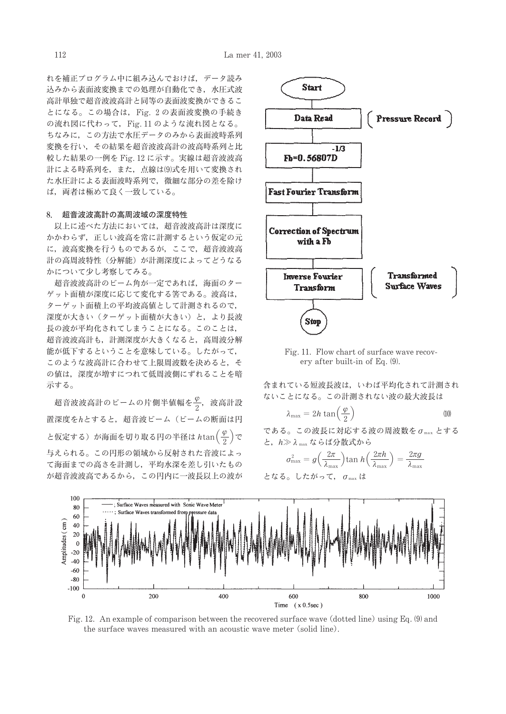れを補正プログラム中に組み込んでおけば、データ読み 込みから表面波変換までの処理が自動化でき、水圧式波 高計単独で超音波波高計と同等の表面波変換ができるこ とになる。この場合は、Fig. 2の表面波変換の手続き の流れ図に代わって、Fig. 11 のような流れ図となる。 ちなみに、この方法で水圧データのみから表面波時系列 変換を行い、その結果を超音波波高計の波高時系列と比 較した結果の一例を Fig. 12 に示す。実線は超音波波高 計による時系列を、また、点線は(9)式を用いて変換され た水圧計による表面波時系列で、微細な部分の差を除け ば、両者は極めて良く一致している。

## 8. 超音波波高計の高周波域の深度特性

以上に述べた方法においては、超音波波高計は深度に かかわらず、正しい波高を常に計測するという仮定の元 に、波高変換を行うものであるが、ここで、超音波波高 計の高周波特性(分解能)が計測深度によってどうなる かについて少し考察してみる。

超音波波高計のビーム角が一定であれば、海面のター ゲット面積が深度に応じて変化する筈である。波高は, ターゲット面積上の平均波高値として計測されるので, 深度が大きい (ターゲット面積が大きい)と、より長波 長の波が平均化されてしまうことになる。このことは、 超音波波高計も、計測深度が大きくなると、高周波分解 能が低下するということを意味している。したがって、 このような波高計に合わせて上限周波数を決めると、そ の値は、深度が増すにつれて低周波側にずれることを暗 示する。

超音波波高計のビームの片側半値幅を $\frac{\varphi}{2}$ , 波高計設 置深度をhとすると、超音波ビーム (ビームの断面は円 と仮定する) が海面を切り取る円の半径は htan $(\frac{\varphi}{2})$ で 与えられる。この円形の領域から反射された音波によっ て海面までの高さを計測し、平均水深を差し引いたもの が超音波波高であるから、この円内に一波長以上の波が



Fig. 11. Flow chart of surface wave recovery after built-in of Eq. (9).

含まれている短波長波は、いわば平均化されて計測され ないことになる。この計測されない波の最大波長は

$$
\lambda_{\text{max}} = 2h \tan\left(\frac{\varphi}{2}\right) \tag{10}
$$

である。この波長に対応する波の周波数を  $\sigma_{\text{max}}$ とする と、h>λmax ならば分散式から

$$
\sigma_{\max}^2 = g\left(\frac{2\pi}{\lambda_{\max}}\right) \tan h\left(\frac{2\pi h}{\lambda_{\max}}\right) = \frac{2\pi g}{\lambda_{\max}}
$$
  

$$
\angle \text{ is } \delta_{\circ} \cup \text{ is } \delta_{\circ} \subset, \quad \sigma_{\max} \text{ is}
$$



Fig. 12. An example of comparison between the recovered surface wave (dotted line) using Eq. (9) and the surface waves measured with an acoustic wave meter (solid line).